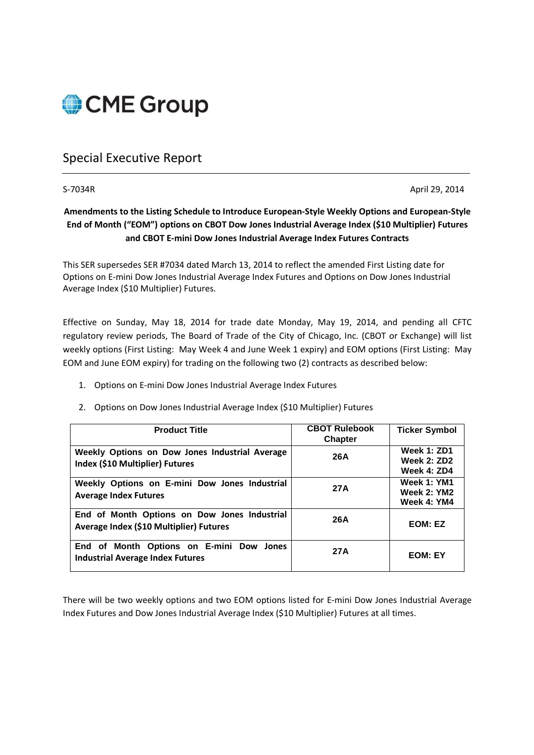

# Special Executive Report

S-7034R April 29, 2014

## **Amendments to the Listing Schedule to Introduce European-Style Weekly Options and European-Style End of Month ("EOM") options on CBOT Dow Jones Industrial Average Index (\$10 Multiplier) Futures and CBOT E-mini Dow Jones Industrial Average Index Futures Contracts**

This SER supersedes SER #7034 dated March 13, 2014 to reflect the amended First Listing date for Options on E-mini Dow Jones Industrial Average Index Futures and Options on Dow Jones Industrial Average Index (\$10 Multiplier) Futures.

Effective on Sunday, May 18, 2014 for trade date Monday, May 19, 2014, and pending all CFTC regulatory review periods, The Board of Trade of the City of Chicago, Inc. (CBOT or Exchange) will list weekly options (First Listing: May Week 4 and June Week 1 expiry) and EOM options (First Listing: May EOM and June EOM expiry) for trading on the following two (2) contracts as described below:

- 1. Options on E-mini Dow Jones Industrial Average Index Futures
- 2. Options on Dow Jones Industrial Average Index (\$10 Multiplier) Futures

| <b>Product Title</b>                                                                    | <b>CBOT Rulebook</b><br><b>Chapter</b> | <b>Ticker Symbol</b>                                    |
|-----------------------------------------------------------------------------------------|----------------------------------------|---------------------------------------------------------|
| Weekly Options on Dow Jones Industrial Average<br>Index (\$10 Multiplier) Futures       | 26A                                    | <b>Week 1: ZD1</b><br><b>Week 2: ZD2</b><br>Week 4: ZD4 |
| Weekly Options on E-mini Dow Jones Industrial<br><b>Average Index Futures</b>           | 27A                                    | Week 1: YM1<br><b>Week 2: YM2</b><br>Week 4: YM4        |
| End of Month Options on Dow Jones Industrial<br>Average Index (\$10 Multiplier) Futures | 26A                                    | EOM: EZ                                                 |
| End of Month Options on E-mini Dow Jones<br><b>Industrial Average Index Futures</b>     | 27A                                    | <b>EOM: EY</b>                                          |

There will be two weekly options and two EOM options listed for E-mini Dow Jones Industrial Average Index Futures and Dow Jones Industrial Average Index (\$10 Multiplier) Futures at all times.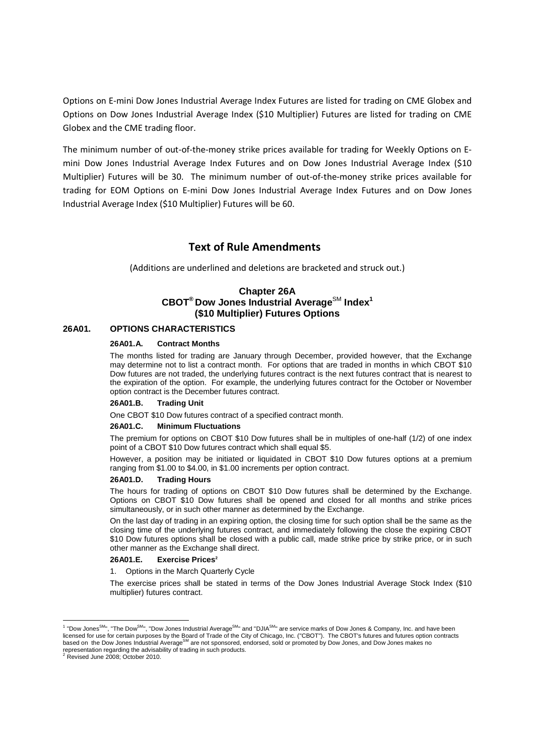Options on E-mini Dow Jones Industrial Average Index Futures are listed for trading on CME Globex and Options on Dow Jones Industrial Average Index (\$10 Multiplier) Futures are listed for trading on CME Globex and the CME trading floor.

The minimum number of out-of-the-money strike prices available for trading for Weekly Options on Emini Dow Jones Industrial Average Index Futures and on Dow Jones Industrial Average Index (\$10 Multiplier) Futures will be 30. The minimum number of out-of-the-money strike prices available for trading for EOM Options on E-mini Dow Jones Industrial Average Index Futures and on Dow Jones Industrial Average Index (\$10 Multiplier) Futures will be 60.

## **Text of Rule Amendments**

(Additions are underlined and deletions are bracketed and struck out.)

### **Chapter 26A CBOT® Dow Jones Industrial Average**SM **Index<sup>1</sup> (\$10 Multiplier) Futures Options**

#### **26A01. OPTIONS CHARACTERISTICS**

#### **26A01.A. Contract Months**

The months listed for trading are January through December, provided however, that the Exchange may determine not to list a contract month. For options that are traded in months in which CBOT \$10 Dow futures are not traded, the underlying futures contract is the next futures contract that is nearest to the expiration of the option. For example, the underlying futures contract for the October or November option contract is the December futures contract.

#### **26A01.B. Trading Unit**

One CBOT \$10 Dow futures contract of a specified contract month.

#### **26A01.C. Minimum Fluctuations**

The premium for options on CBOT \$10 Dow futures shall be in multiples of one-half (1/2) of one index point of a CBOT \$10 Dow futures contract which shall equal \$5.

However, a position may be initiated or liquidated in CBOT \$10 Dow futures options at a premium ranging from \$1.00 to \$4.00, in \$1.00 increments per option contract.

#### **26A01.D. Trading Hours**

The hours for trading of options on CBOT \$10 Dow futures shall be determined by the Exchange. Options on CBOT \$10 Dow futures shall be opened and closed for all months and strike prices simultaneously, or in such other manner as determined by the Exchange.

On the last day of trading in an expiring option, the closing time for such option shall be the same as the closing time of the underlying futures contract, and immediately following the close the expiring CBOT \$10 Dow futures options shall be closed with a public call, made strike price by strike price, or in such other manner as the Exchange shall direct.

#### **26A01.E. Exercise Prices<sup>2</sup>**

1. Options in the March Quarterly Cycle

The exercise prices shall be stated in terms of the Dow Jones Industrial Average Stock Index (\$10 multiplier) futures contract.

<u>.</u>

 $^1$  "Dow Jones<sup>SM</sup>", "The Dow<sup>SM</sup>", "Dow Jones Industrial Average<sup>SM</sup>" and "DJIA<sup>SM</sup>" are service marks of Dow Jones & Company, Inc. and have been licensed for use for certain purposes by the Board of Trade of the City of Chicago, Inc. ("CBOT"). The CBOT's futures and futures option contracts<br>based on the Dow Jones Industrial Average<sup>SM</sup> are not sponsored, endorsed, representation regarding the advisability of trading in such products.<br><sup>2</sup> Revised June 2008; October 2010.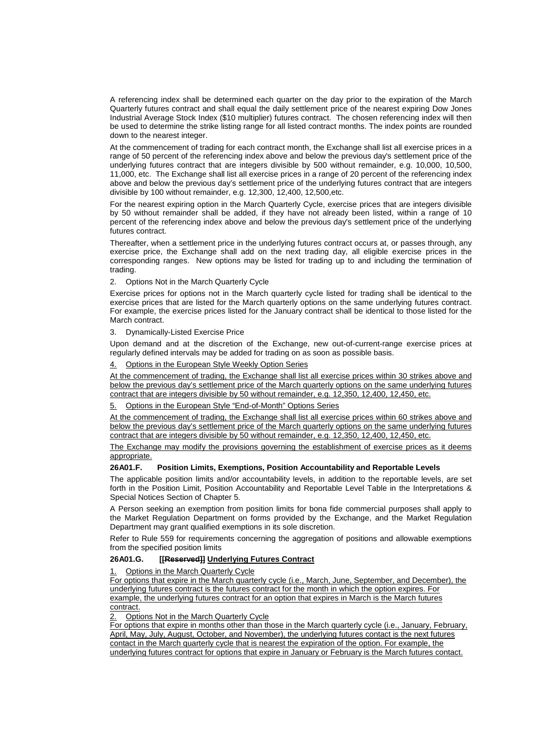A referencing index shall be determined each quarter on the day prior to the expiration of the March Quarterly futures contract and shall equal the daily settlement price of the nearest expiring Dow Jones Industrial Average Stock Index (\$10 multiplier) futures contract. The chosen referencing index will then be used to determine the strike listing range for all listed contract months. The index points are rounded down to the nearest integer.

At the commencement of trading for each contract month, the Exchange shall list all exercise prices in a range of 50 percent of the referencing index above and below the previous day's settlement price of the underlying futures contract that are integers divisible by 500 without remainder, e.g. 10,000, 10,500, 11,000, etc. The Exchange shall list all exercise prices in a range of 20 percent of the referencing index above and below the previous day's settlement price of the underlying futures contract that are integers divisible by 100 without remainder, e.g. 12,300, 12,400, 12,500,etc.

For the nearest expiring option in the March Quarterly Cycle, exercise prices that are integers divisible by 50 without remainder shall be added, if they have not already been listed, within a range of 10 percent of the referencing index above and below the previous day's settlement price of the underlying futures contract.

Thereafter, when a settlement price in the underlying futures contract occurs at, or passes through, any exercise price, the Exchange shall add on the next trading day, all eligible exercise prices in the corresponding ranges. New options may be listed for trading up to and including the termination of trading.

2. Options Not in the March Quarterly Cycle

Exercise prices for options not in the March quarterly cycle listed for trading shall be identical to the exercise prices that are listed for the March quarterly options on the same underlying futures contract. For example, the exercise prices listed for the January contract shall be identical to those listed for the March contract.

#### 3. Dynamically-Listed Exercise Price

Upon demand and at the discretion of the Exchange, new out-of-current-range exercise prices at regularly defined intervals may be added for trading on as soon as possible basis.

#### 4. Options in the European Style Weekly Option Series

At the commencement of trading, the Exchange shall list all exercise prices within 30 strikes above and below the previous day's settlement price of the March quarterly options on the same underlying futures contract that are integers divisible by 50 without remainder, e.g. 12,350, 12,400, 12,450, etc.

#### 5. Options in the European Style "End-of-Month" Options Series

At the commencement of trading, the Exchange shall list all exercise prices within 60 strikes above and below the previous day's settlement price of the March quarterly options on the same underlying futures contract that are integers divisible by 50 without remainder, e.g. 12,350, 12,400, 12,450, etc.

The Exchange may modify the provisions governing the establishment of exercise prices as it deems appropriate.

#### **26A01.F. Position Limits, Exemptions, Position Accountability and Reportable Levels**

The applicable position limits and/or accountability levels, in addition to the reportable levels, are set forth in the Position Limit, Position Accountability and Reportable Level Table in the Interpretations & Special Notices Section of Chapter 5.

A Person seeking an exemption from position limits for bona fide commercial purposes shall apply to the Market Regulation Department on forms provided by the Exchange, and the Market Regulation Department may grant qualified exemptions in its sole discretion.

Refer to Rule 559 for requirements concerning the aggregation of positions and allowable exemptions from the specified position limits

#### **26A01.G. [[Reserved]] Underlying Futures Contract**

1. Options in the March Quarterly Cycle

For options that expire in the March quarterly cycle (i.e., March, June, September, and December), the underlying futures contract is the futures contract for the month in which the option expires. For example, the underlying futures contract for an option that expires in March is the March futures contract.

2. Options Not in the March Quarterly Cycle

For options that expire in months other than those in the March quarterly cycle (i.e., January, February, April, May, July, August, October, and November), the underlying futures contact is the next futures contact in the March quarterly cycle that is nearest the expiration of the option. For example, the underlying futures contract for options that expire in January or February is the March futures contact.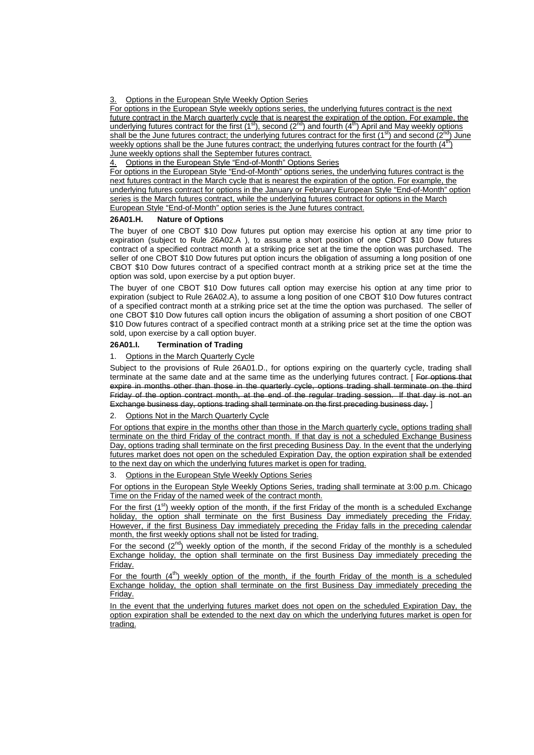3. Options in the European Style Weekly Option Series

For options in the European Style weekly options series, the underlying futures contract is the next future contract in the March quarterly cycle that is nearest the expiration of the option. For example, the underlying futures contract for the first  $(1^{st})$ , second  $(2^{nd})$  and fourth  $(4^{th})$  April and May weekly options shall be the June futures contract; the underlying futures contract for the first (1<sup>st</sup>) and second (2<sup>nd</sup>) June weekly options shall be the June futures contract; the underlying futures contract for the fourth  $(4^n)$ June weekly options shall the September futures contract.

4. Options in the European Style "End-of-Month" Options Series

For options in the European Style "End-of-Month" options series, the underlying futures contract is the next futures contract in the March cycle that is nearest the expiration of the option. For example, the underlying futures contract for options in the January or February European Style "End-of-Month" option series is the March futures contract, while the underlying futures contract for options in the March European Style "End-of-Month" option series is the June futures contract.

#### **26A01.H. Nature of Options**

The buyer of one CBOT \$10 Dow futures put option may exercise his option at any time prior to expiration (subject to Rule 26A02.A ), to assume a short position of one CBOT \$10 Dow futures contract of a specified contract month at a striking price set at the time the option was purchased. The seller of one CBOT \$10 Dow futures put option incurs the obligation of assuming a long position of one CBOT \$10 Dow futures contract of a specified contract month at a striking price set at the time the option was sold, upon exercise by a put option buyer.

The buyer of one CBOT \$10 Dow futures call option may exercise his option at any time prior to expiration (subject to Rule 26A02.A), to assume a long position of one CBOT \$10 Dow futures contract of a specified contract month at a striking price set at the time the option was purchased. The seller of one CBOT \$10 Dow futures call option incurs the obligation of assuming a short position of one CBOT \$10 Dow futures contract of a specified contract month at a striking price set at the time the option was sold, upon exercise by a call option buyer.

#### **26A01.I. Termination of Trading**

#### 1. Options in the March Quarterly Cycle

Subject to the provisions of Rule 26A01.D., for options expiring on the quarterly cycle, trading shall terminate at the same date and at the same time as the underlying futures contract. [For options that expire in months other than those in the quarterly cycle, options trading shall terminate on the third Friday of the option contract month, at the end of the regular trading session. If that day is not an Exchange business day, options trading shall terminate on the first preceding business day. I

#### 2. Options Not in the March Quarterly Cycle

For options that expire in the months other than those in the March quarterly cycle, options trading shall terminate on the third Friday of the contract month. If that day is not a scheduled Exchange Business Day, options trading shall terminate on the first preceding Business Day. In the event that the underlying futures market does not open on the scheduled Expiration Day, the option expiration shall be extended to the next day on which the underlying futures market is open for trading.

Options in the European Style Weekly Options Series

For options in the European Style Weekly Options Series, trading shall terminate at 3:00 p.m. Chicago Time on the Friday of the named week of the contract month.

For the first (1<sup>st</sup>) weekly option of the month, if the first Friday of the month is a scheduled Exchange holiday, the option shall terminate on the first Business Day immediately preceding the Friday. However, if the first Business Day immediately preceding the Friday falls in the preceding calendar month, the first weekly options shall not be listed for trading.

For the second  $(2^{nd})$  weekly option of the month, if the second Friday of the monthly is a scheduled Exchange holiday, the option shall terminate on the first Business Day immediately preceding the Friday.

For the fourth  $(4<sup>th</sup>)$  weekly option of the month, if the fourth Friday of the month is a scheduled Exchange holiday, the option shall terminate on the first Business Day immediately preceding the Friday.

In the event that the underlying futures market does not open on the scheduled Expiration Day, the option expiration shall be extended to the next day on which the underlying futures market is open for trading.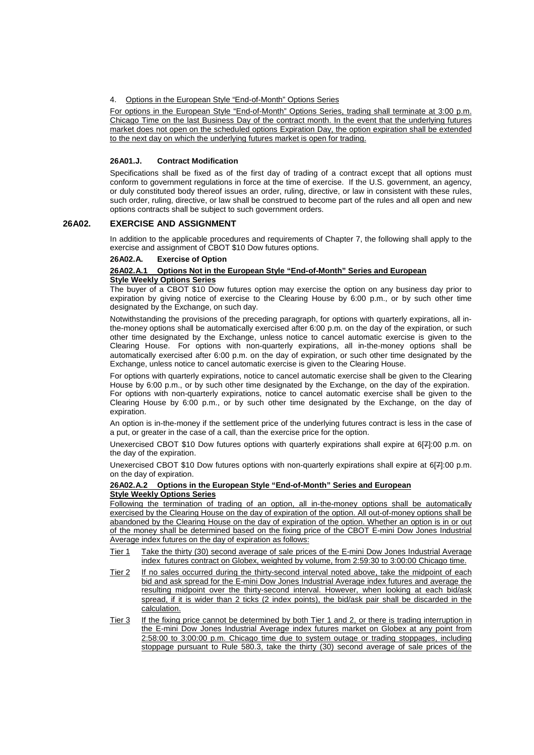4. Options in the European Style "End-of-Month" Options Series

For options in the European Style "End-of-Month" Options Series, trading shall terminate at 3:00 p.m. Chicago Time on the last Business Day of the contract month. In the event that the underlying futures market does not open on the scheduled options Expiration Day, the option expiration shall be extended to the next day on which the underlying futures market is open for trading.

#### **26A01.J. Contract Modification**

Specifications shall be fixed as of the first day of trading of a contract except that all options must conform to government regulations in force at the time of exercise. If the U.S. government, an agency, or duly constituted body thereof issues an order, ruling, directive, or law in consistent with these rules, such order, ruling, directive, or law shall be construed to become part of the rules and all open and new options contracts shall be subject to such government orders.

#### **26A02. EXERCISE AND ASSIGNMENT**

In addition to the applicable procedures and requirements of Chapter 7, the following shall apply to the exercise and assignment of CBOT \$10 Dow futures options.

#### **26A02.A. Exercise of Option**

#### **26A02.A.1 Options Not in the European Style "End-of-Month" Series and European Style Weekly Options Series**

The buyer of a CBOT \$10 Dow futures option may exercise the option on any business day prior to expiration by giving notice of exercise to the Clearing House by 6:00 p.m., or by such other time designated by the Exchange, on such day.

Notwithstanding the provisions of the preceding paragraph, for options with quarterly expirations, all inthe-money options shall be automatically exercised after 6:00 p.m. on the day of the expiration, or such other time designated by the Exchange, unless notice to cancel automatic exercise is given to the Clearing House. For options with non-quarterly expirations, all in-the-money options shall be automatically exercised after 6:00 p.m. on the day of expiration, or such other time designated by the Exchange, unless notice to cancel automatic exercise is given to the Clearing House.

For options with quarterly expirations, notice to cancel automatic exercise shall be given to the Clearing House by 6:00 p.m., or by such other time designated by the Exchange, on the day of the expiration. For options with non-quarterly expirations, notice to cancel automatic exercise shall be given to the Clearing House by 6:00 p.m., or by such other time designated by the Exchange, on the day of expiration.

An option is in-the-money if the settlement price of the underlying futures contract is less in the case of a put, or greater in the case of a call, than the exercise price for the option.

Unexercised CBOT \$10 Dow futures options with quarterly expirations shall expire at 6[7]:00 p.m. on the day of the expiration.

Unexercised CBOT \$10 Dow futures options with non-quarterly expirations shall expire at 6[7]:00 p.m. on the day of expiration.

#### **26A02.A.2 Options in the European Style "End-of-Month" Series and European Style Weekly Options Series**

Following the termination of trading of an option, all in-the-money options shall be automatically exercised by the Clearing House on the day of expiration of the option. All out-of-money options shall be abandoned by the Clearing House on the day of expiration of the option. Whether an option is in or out of the money shall be determined based on the fixing price of the CBOT E-mini Dow Jones Industrial Average index futures on the day of expiration as follows:

- Tier 1 Take the thirty (30) second average of sale prices of the E-mini Dow Jones Industrial Average index futures contract on Globex, weighted by volume, from 2:59:30 to 3:00:00 Chicago time.
- Tier 2 If no sales occurred during the thirty-second interval noted above, take the midpoint of each bid and ask spread for the E-mini Dow Jones Industrial Average index futures and average the resulting midpoint over the thirty-second interval. However, when looking at each bid/ask spread, if it is wider than 2 ticks (2 index points), the bid/ask pair shall be discarded in the calculation.
- Tier 3 If the fixing price cannot be determined by both Tier 1 and 2, or there is trading interruption in the E-mini Dow Jones Industrial Average index futures market on Globex at any point from 2:58:00 to 3:00:00 p.m. Chicago time due to system outage or trading stoppages, including stoppage pursuant to Rule 580.3, take the thirty (30) second average of sale prices of the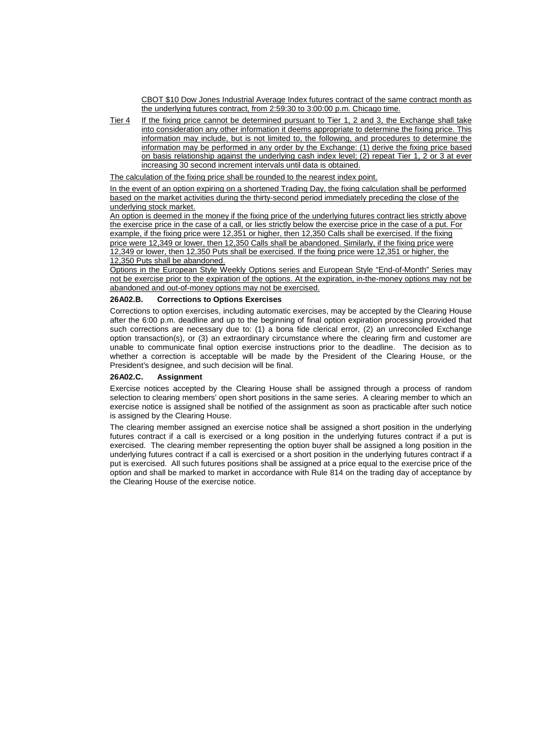CBOT \$10 Dow Jones Industrial Average Index futures contract of the same contract month as the underlying futures contract, from 2:59:30 to 3:00:00 p.m. Chicago time.

Tier 4 If the fixing price cannot be determined pursuant to Tier 1, 2 and 3, the Exchange shall take into consideration any other information it deems appropriate to determine the fixing price. This information may include, but is not limited to, the following, and procedures to determine the information may be performed in any order by the Exchange: (1) derive the fixing price based on basis relationship against the underlying cash index level; (2) repeat Tier 1, 2 or 3 at ever increasing 30 second increment intervals until data is obtained.

The calculation of the fixing price shall be rounded to the nearest index point.

In the event of an option expiring on a shortened Trading Day, the fixing calculation shall be performed based on the market activities during the thirty-second period immediately preceding the close of the underlying stock market.

An option is deemed in the money if the fixing price of the underlying futures contract lies strictly above the exercise price in the case of a call, or lies strictly below the exercise price in the case of a put. For example, if the fixing price were 12,351 or higher, then 12,350 Calls shall be exercised. If the fixing price were 12,349 or lower, then 12,350 Calls shall be abandoned. Similarly, if the fixing price were 12,349 or lower, then 12,350 Puts shall be exercised. If the fixing price were 12,351 or higher, the 12,350 Puts shall be abandoned.

Options in the European Style Weekly Options series and European Style "End-of-Month" Series may not be exercise prior to the expiration of the options. At the expiration, in-the-money options may not be abandoned and out-of-money options may not be exercised.

#### **26A02.B. Corrections to Options Exercises**

Corrections to option exercises, including automatic exercises, may be accepted by the Clearing House after the 6:00 p.m. deadline and up to the beginning of final option expiration processing provided that such corrections are necessary due to: (1) a bona fide clerical error, (2) an unreconciled Exchange option transaction(s), or (3) an extraordinary circumstance where the clearing firm and customer are unable to communicate final option exercise instructions prior to the deadline. The decision as to whether a correction is acceptable will be made by the President of the Clearing House, or the President's designee, and such decision will be final.

#### **26A02.C. Assignment**

Exercise notices accepted by the Clearing House shall be assigned through a process of random selection to clearing members' open short positions in the same series. A clearing member to which an exercise notice is assigned shall be notified of the assignment as soon as practicable after such notice is assigned by the Clearing House.

The clearing member assigned an exercise notice shall be assigned a short position in the underlying futures contract if a call is exercised or a long position in the underlying futures contract if a put is exercised. The clearing member representing the option buyer shall be assigned a long position in the underlying futures contract if a call is exercised or a short position in the underlying futures contract if a put is exercised. All such futures positions shall be assigned at a price equal to the exercise price of the option and shall be marked to market in accordance with Rule 814 on the trading day of acceptance by the Clearing House of the exercise notice.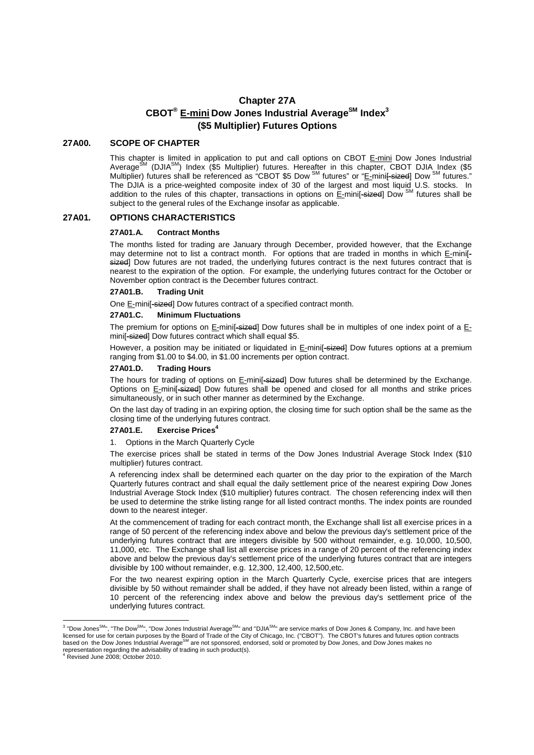## **Chapter 27A CBOT® E-mini Dow Jones Industrial AverageSM Index<sup>3</sup> (\$5 Multiplier) Futures Options**

#### **27A00. SCOPE OF CHAPTER**

This chapter is limited in application to put and call options on CBOT E-mini Dow Jones Industrial Average<sup>SM</sup> (DJIA<sup>SM</sup>) Index (\$5 Multiplier) futures. Hereafter in this chapter, CBOT DJIA Index (\$5 Multiplier) futures shall be referenced as "CBOT \$5 Dow <sup>SM</sup> futures" or "E-mini<del>[-sized</del>] Dow <sup>SM</sup> futures." The DJIA is a price-weighted composite index of 30 of the largest and most liquid U.S. stocks. In addition to the rules of this chapter, transactions in options on E-minif-sized Dow SM futures shall be addition to the rules of this chapter, transactions in options on E-minif-sized Dow SM futures shall be subject to the general rules of the Exchange insofar as applicable.

#### **27A01. OPTIONS CHARACTERISTICS**

#### **27A01.A. Contract Months**

The months listed for trading are January through December, provided however, that the Exchange may determine not to list a contract month. For options that are traded in months in which E-mini[sized] Dow futures are not traded, the underlying futures contract is the next futures contract that is nearest to the expiration of the option. For example, the underlying futures contract for the October or November option contract is the December futures contract.

#### **27A01.B. Trading Unit**

One E-mini[-sized] Dow futures contract of a specified contract month.

#### **27A01.C. Minimum Fluctuations**

The premium for options on E-mini<sup>[-sized]</sup> Dow futures shall be in multiples of one index point of a Emini[-sized] Dow futures contract which shall equal \$5.

However, a position may be initiated or liquidated in E-mini<sup>[-eized]</sup> Dow futures options at a premium ranging from \$1.00 to \$4.00, in \$1.00 increments per option contract.

#### **27A01.D. Trading Hours**

The hours for trading of options on E-mini[-sized] Dow futures shall be determined by the Exchange. Options on E-mini[-sized] Dow futures shall be opened and closed for all months and strike prices simultaneously, or in such other manner as determined by the Exchange.

On the last day of trading in an expiring option, the closing time for such option shall be the same as the closing time of the underlying futures contract.

#### **27A01.E. Exercise Prices<sup>4</sup>**

#### 1. Options in the March Quarterly Cycle

The exercise prices shall be stated in terms of the Dow Jones Industrial Average Stock Index (\$10 multiplier) futures contract.

A referencing index shall be determined each quarter on the day prior to the expiration of the March Quarterly futures contract and shall equal the daily settlement price of the nearest expiring Dow Jones Industrial Average Stock Index (\$10 multiplier) futures contract. The chosen referencing index will then be used to determine the strike listing range for all listed contract months. The index points are rounded down to the nearest integer.

At the commencement of trading for each contract month, the Exchange shall list all exercise prices in a range of 50 percent of the referencing index above and below the previous day's settlement price of the underlying futures contract that are integers divisible by 500 without remainder, e.g. 10,000, 10,500, 11,000, etc. The Exchange shall list all exercise prices in a range of 20 percent of the referencing index above and below the previous day's settlement price of the underlying futures contract that are integers divisible by 100 without remainder, e.g. 12,300, 12,400, 12,500,etc.

For the two nearest expiring option in the March Quarterly Cycle, exercise prices that are integers divisible by 50 without remainder shall be added, if they have not already been listed, within a range of 10 percent of the referencing index above and below the previous day's settlement price of the underlying futures contract.

 3 "Dow JonesSM", "The DowSM", "Dow Jones Industrial AverageSM" and "DJIASM" are service marks of Dow Jones & Company, Inc. and have been licensed for use for certain purposes by the Board of Trade of the City of Chicago, Inc. ("CBOT"). The CBOT's futures and futures option contracts<br>based on the Dow Jones Industrial Average<sup>SM</sup> are not sponsored, endorsed, representation regarding the advisability of trading in such product(s). 4 Revised June 2008; October 2010.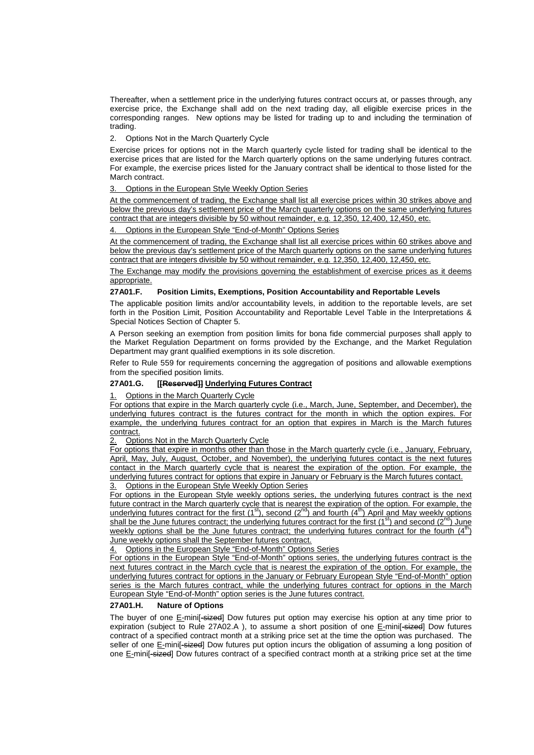Thereafter, when a settlement price in the underlying futures contract occurs at, or passes through, any exercise price, the Exchange shall add on the next trading day, all eligible exercise prices in the corresponding ranges. New options may be listed for trading up to and including the termination of trading.

2. Options Not in the March Quarterly Cycle

Exercise prices for options not in the March quarterly cycle listed for trading shall be identical to the exercise prices that are listed for the March quarterly options on the same underlying futures contract. For example, the exercise prices listed for the January contract shall be identical to those listed for the March contract.

3. Options in the European Style Weekly Option Series

At the commencement of trading, the Exchange shall list all exercise prices within 30 strikes above and below the previous day's settlement price of the March quarterly options on the same underlying futures contract that are integers divisible by 50 without remainder, e.g. 12,350, 12,400, 12,450, etc.

4. Options in the European Style "End-of-Month" Options Series

At the commencement of trading, the Exchange shall list all exercise prices within 60 strikes above and below the previous day's settlement price of the March quarterly options on the same underlying futures contract that are integers divisible by 50 without remainder, e.g. 12,350, 12,400, 12,450, etc.

The Exchange may modify the provisions governing the establishment of exercise prices as it deems appropriate.

#### **27A01.F. Position Limits, Exemptions, Position Accountability and Reportable Levels**

The applicable position limits and/or accountability levels, in addition to the reportable levels, are set forth in the Position Limit, Position Accountability and Reportable Level Table in the Interpretations & Special Notices Section of Chapter 5.

A Person seeking an exemption from position limits for bona fide commercial purposes shall apply to the Market Regulation Department on forms provided by the Exchange, and the Market Regulation Department may grant qualified exemptions in its sole discretion.

Refer to Rule 559 for requirements concerning the aggregation of positions and allowable exemptions from the specified position limits.

#### **27A01.G. [[Reserved]] Underlying Futures Contract**

1. Options in the March Quarterly Cycle

For options that expire in the March quarterly cycle (i.e., March, June, September, and December), the underlying futures contract is the futures contract for the month in which the option expires. For example, the underlying futures contract for an option that expires in March is the March futures contract.

2. Options Not in the March Quarterly Cycle

For options that expire in months other than those in the March quarterly cycle (i.e., January, February, April, May, July, August, October, and November), the underlying futures contact is the next futures contact in the March quarterly cycle that is nearest the expiration of the option. For example, the underlying futures contract for options that expire in January or February is the March futures contact.

3. Options in the European Style Weekly Option Series

For options in the European Style weekly options series, the underlying futures contract is the next future contract in the March quarterly cycle that is nearest the expiration of the option. For example, the<br>underlying futures contract for the first (1<sup>st</sup>), second (2<sup>nd</sup>) and fourth (4<sup>th</sup>) April and May weekly options shall be the June futures contract; the underlying futures contract for the first  $(1^{st})$  and second  $(2^{nd})$  June weekly options shall be the June futures contract; the underlying futures contract for the fourth  $(4<sup>th</sup>)$ June weekly options shall the September futures contract.

4. Options in the European Style "End-of-Month" Options Series

For options in the European Style "End-of-Month" options series, the underlying futures contract is the next futures contract in the March cycle that is nearest the expiration of the option. For example, the underlying futures contract for options in the January or February European Style "End-of-Month" option series is the March futures contract, while the underlying futures contract for options in the March European Style "End-of-Month" option series is the June futures contract.

#### **27A01.H. Nature of Options**

The buyer of one E-mini[-sized] Dow futures put option may exercise his option at any time prior to expiration (subject to Rule 27A02.A), to assume a short position of one E-mini[-sized] Dow futures contract of a specified contract month at a striking price set at the time the option was purchased. The seller of one E-mini<sup>[</sup>-sized] Dow futures put option incurs the obligation of assuming a long position of one E-mini<sup>[</sup>-sized] Dow futures contract of a specified contract month at a striking price set at the time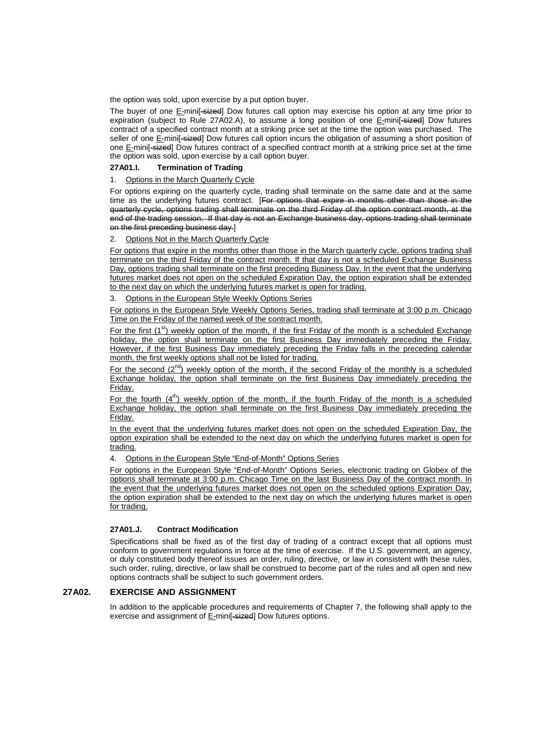the option was sold, upon exercise by a put option buyer.

The buyer of one E-minif-sized] Dow futures call option may exercise his option at any time prior to expiration (subject to Rule 27A02.A), to assume a long position of one E-mini<sup>[-sized]</sup> Dow futures contract of a specified contract month at a striking price set at the time the option was purchased. The seller of one E-mini<sup>[-eized]</sup> Dow futures call option incurs the obligation of assuming a short position of one E-mini[-sized] Dow futures contract of a specified contract month at a striking price set at the time the option was sold, upon exercise by a call option buyer.

#### **27A01.I. Termination of Trading**

#### 1. Options in the March Quarterly Cycle

For options expiring on the quarterly cycle, trading shall terminate on the same date and at the same time as the underlying futures contract. [For options that expire in months other than those in the quarterly cycle, options trading shall terminate on the third Friday of the option contract month, at the end of the trading session. If that day is not an Exchange business day, options trading shall terminate on the first preceding business day.]

#### 2. Options Not in the March Quarterly Cycle

For options that expire in the months other than those in the March quarterly cycle, options trading shall terminate on the third Friday of the contract month. If that day is not a scheduled Exchange Business Day, options trading shall terminate on the first preceding Business Day. In the event that the underlying futures market does not open on the scheduled Expiration Day, the option expiration shall be extended to the next day on which the underlying futures market is open for trading.

3. Options in the European Style Weekly Options Series

For options in the European Style Weekly Options Series, trading shall terminate at 3:00 p.m. Chicago Time on the Friday of the named week of the contract month.

For the first (1<sup>st</sup>) weekly option of the month, if the first Friday of the month is a scheduled Exchange holiday, the option shall terminate on the first Business Day immediately preceding the Friday. However, if the first Business Day immediately preceding the Friday falls in the preceding calendar month, the first weekly options shall not be listed for trading.

For the second  $(2^{nd})$  weekly option of the month, if the second Friday of the monthly is a scheduled Exchange holiday, the option shall terminate on the first Business Day immediately preceding the Friday.

For the fourth  $(4^{th})$  weekly option of the month, if the fourth Friday of the month is a scheduled Exchange holiday, the option shall terminate on the first Business Day immediately preceding the Friday.

In the event that the underlying futures market does not open on the scheduled Expiration Day, the option expiration shall be extended to the next day on which the underlying futures market is open for trading.

4. Options in the European Style "End-of-Month" Options Series

For options in the European Style "End-of-Month" Options Series, electronic trading on Globex of the options shall terminate at 3:00 p.m. Chicago Time on the last Business Day of the contract month. In the event that the underlying futures market does not open on the scheduled options Expiration Day, the option expiration shall be extended to the next day on which the underlying futures market is open for trading.

#### **27A01.J. Contract Modification**

Specifications shall be fixed as of the first day of trading of a contract except that all options must conform to government regulations in force at the time of exercise. If the U.S. government, an agency, or duly constituted body thereof issues an order, ruling, directive, or law in consistent with these rules, such order, ruling, directive, or law shall be construed to become part of the rules and all open and new options contracts shall be subject to such government orders.

#### **27A02. EXERCISE AND ASSIGNMENT**

In addition to the applicable procedures and requirements of Chapter 7, the following shall apply to the exercise and assignment of E-mini<sup>[-sized]</sup> Dow futures options.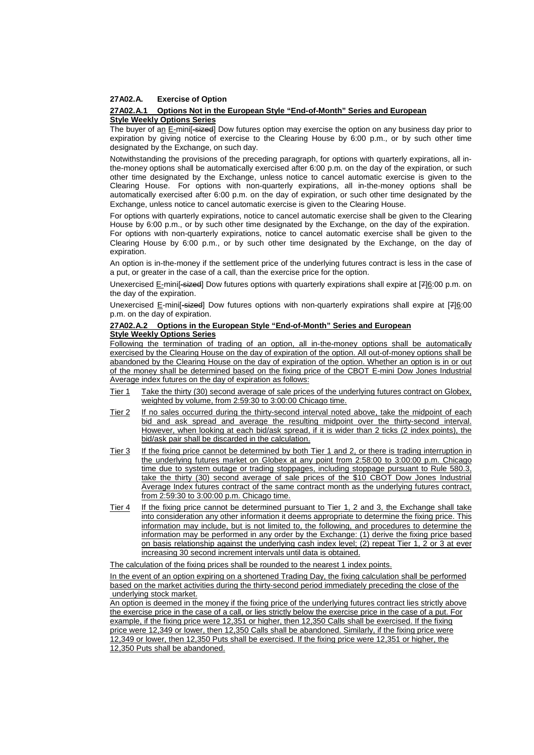#### **27A02.A. Exercise of Option**

#### **27A02.A.1 Options Not in the European Style "End-of-Month" Series and European Style Weekly Options Series**

The buyer of an E-mini[-sized] Dow futures option may exercise the option on any business day prior to expiration by giving notice of exercise to the Clearing House by 6:00 p.m., or by such other time designated by the Exchange, on such day.

Notwithstanding the provisions of the preceding paragraph, for options with quarterly expirations, all inthe-money options shall be automatically exercised after 6:00 p.m. on the day of the expiration, or such other time designated by the Exchange, unless notice to cancel automatic exercise is given to the Clearing House. For options with non-quarterly expirations, all in-the-money options shall be automatically exercised after 6:00 p.m. on the day of expiration, or such other time designated by the Exchange, unless notice to cancel automatic exercise is given to the Clearing House.

For options with quarterly expirations, notice to cancel automatic exercise shall be given to the Clearing House by 6:00 p.m., or by such other time designated by the Exchange, on the day of the expiration. For options with non-quarterly expirations, notice to cancel automatic exercise shall be given to the Clearing House by 6:00 p.m., or by such other time designated by the Exchange, on the day of expiration.

An option is in-the-money if the settlement price of the underlying futures contract is less in the case of a put, or greater in the case of a call, than the exercise price for the option.

Unexercised E-mini<sup>[</sup>-sized] Dow futures options with quarterly expirations shall expire at [7]6:00 p.m. on the day of the expiration.

Unexercised E-mini<sup>[-sized]</sup> Dow futures options with non-quarterly expirations shall expire at [7]6:00 p.m. on the day of expiration.

#### **27A02.A.2 Options in the European Style "End-of-Month" Series and European Style Weekly Options Series**

Following the termination of trading of an option, all in-the-money options shall be automatically exercised by the Clearing House on the day of expiration of the option. All out-of-money options shall be abandoned by the Clearing House on the day of expiration of the option. Whether an option is in or out of the money shall be determined based on the fixing price of the CBOT E-mini Dow Jones Industrial Average index futures on the day of expiration as follows:

- Tier 1 Take the thirty (30) second average of sale prices of the underlying futures contract on Globex, weighted by volume, from 2:59:30 to 3:00:00 Chicago time.
- Tier 2 If no sales occurred during the thirty-second interval noted above, take the midpoint of each bid and ask spread and average the resulting midpoint over the thirty-second interval. However, when looking at each bid/ask spread, if it is wider than 2 ticks (2 index points), the bid/ask pair shall be discarded in the calculation.
- Tier 3 If the fixing price cannot be determined by both Tier 1 and 2, or there is trading interruption in the underlying futures market on Globex at any point from 2:58:00 to 3:00:00 p.m. Chicago time due to system outage or trading stoppages, including stoppage pursuant to Rule 580.3, take the thirty (30) second average of sale prices of the \$10 CBOT Dow Jones Industrial Average Index futures contract of the same contract month as the underlying futures contract, from 2:59:30 to 3:00:00 p.m. Chicago time.
- Tier 4 If the fixing price cannot be determined pursuant to Tier 1, 2 and 3, the Exchange shall take into consideration any other information it deems appropriate to determine the fixing price. This information may include, but is not limited to, the following, and procedures to determine the information may be performed in any order by the Exchange: (1) derive the fixing price based on basis relationship against the underlying cash index level; (2) repeat Tier 1, 2 or 3 at ever increasing 30 second increment intervals until data is obtained.

The calculation of the fixing prices shall be rounded to the nearest 1 index points.

In the event of an option expiring on a shortened Trading Day, the fixing calculation shall be performed based on the market activities during the thirty-second period immediately preceding the close of the underlying stock market.

An option is deemed in the money if the fixing price of the underlying futures contract lies strictly above the exercise price in the case of a call, or lies strictly below the exercise price in the case of a put. For example, if the fixing price were 12,351 or higher, then 12,350 Calls shall be exercised. If the fixing price were 12,349 or lower, then 12,350 Calls shall be abandoned. Similarly, if the fixing price were 12,349 or lower, then 12,350 Puts shall be exercised. If the fixing price were 12,351 or higher, the 12,350 Puts shall be abandoned.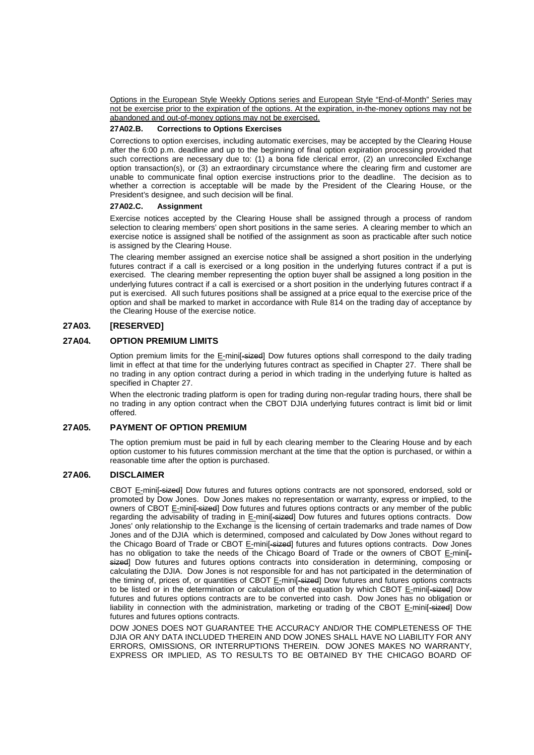Options in the European Style Weekly Options series and European Style "End-of-Month" Series may not be exercise prior to the expiration of the options. At the expiration, in-the-money options may not be abandoned and out-of-money options may not be exercised.

#### **27A02.B. Corrections to Options Exercises**

Corrections to option exercises, including automatic exercises, may be accepted by the Clearing House after the 6:00 p.m. deadline and up to the beginning of final option expiration processing provided that such corrections are necessary due to: (1) a bona fide clerical error, (2) an unreconciled Exchange option transaction(s), or (3) an extraordinary circumstance where the clearing firm and customer are unable to communicate final option exercise instructions prior to the deadline. The decision as to whether a correction is acceptable will be made by the President of the Clearing House, or the President's designee, and such decision will be final.

#### **27A02.C. Assignment**

Exercise notices accepted by the Clearing House shall be assigned through a process of random selection to clearing members' open short positions in the same series. A clearing member to which an exercise notice is assigned shall be notified of the assignment as soon as practicable after such notice is assigned by the Clearing House.

The clearing member assigned an exercise notice shall be assigned a short position in the underlying futures contract if a call is exercised or a long position in the underlying futures contract if a put is exercised. The clearing member representing the option buyer shall be assigned a long position in the underlying futures contract if a call is exercised or a short position in the underlying futures contract if a put is exercised. All such futures positions shall be assigned at a price equal to the exercise price of the option and shall be marked to market in accordance with Rule 814 on the trading day of acceptance by the Clearing House of the exercise notice.

#### **27A03. [RESERVED]**

#### **27A04. OPTION PREMIUM LIMITS**

Option premium limits for the  $E$ -mini<sup>[</sup>-eized] Dow futures options shall correspond to the daily trading limit in effect at that time for the underlying futures contract as specified in Chapter 27. There shall be no trading in any option contract during a period in which trading in the underlying future is halted as specified in Chapter 27.

When the electronic trading platform is open for trading during non-regular trading hours, there shall be no trading in any option contract when the CBOT DJIA underlying futures contract is limit bid or limit offered.

#### **27A05. PAYMENT OF OPTION PREMIUM**

The option premium must be paid in full by each clearing member to the Clearing House and by each option customer to his futures commission merchant at the time that the option is purchased, or within a reasonable time after the option is purchased.

#### **27A06. DISCLAIMER**

CBOT E-mini[-sized] Dow futures and futures options contracts are not sponsored, endorsed, sold or promoted by Dow Jones. Dow Jones makes no representation or warranty, express or implied, to the owners of CBOT E-mini<sup>[</sup>-sized] Dow futures and futures options contracts or any member of the public regarding the advisability of trading in E-mini[-sized] Dow futures and futures options contracts. Dow Jones' only relationship to the Exchange is the licensing of certain trademarks and trade names of Dow Jones and of the DJIA which is determined, composed and calculated by Dow Jones without regard to the Chicago Board of Trade or CBOT E-mini[-sized] futures and futures options contracts. Dow Jones has no obligation to take the needs of the Chicago Board of Trade or the owners of CBOT E-mini[sized] Dow futures and futures options contracts into consideration in determining, composing or calculating the DJIA. Dow Jones is not responsible for and has not participated in the determination of the timing of, prices of, or quantities of CBOT E-mini<sup>[-sized]</sup> Dow futures and futures options contracts to be listed or in the determination or calculation of the equation by which CBOT E-mini[-sized] Dow futures and futures options contracts are to be converted into cash. Dow Jones has no obligation or liability in connection with the administration, marketing or trading of the CBOT E-mini[-sized] Dow futures and futures options contracts.

DOW JONES DOES NOT GUARANTEE THE ACCURACY AND/OR THE COMPLETENESS OF THE DJIA OR ANY DATA INCLUDED THEREIN AND DOW JONES SHALL HAVE NO LIABILITY FOR ANY ERRORS, OMISSIONS, OR INTERRUPTIONS THEREIN. DOW JONES MAKES NO WARRANTY, EXPRESS OR IMPLIED, AS TO RESULTS TO BE OBTAINED BY THE CHICAGO BOARD OF